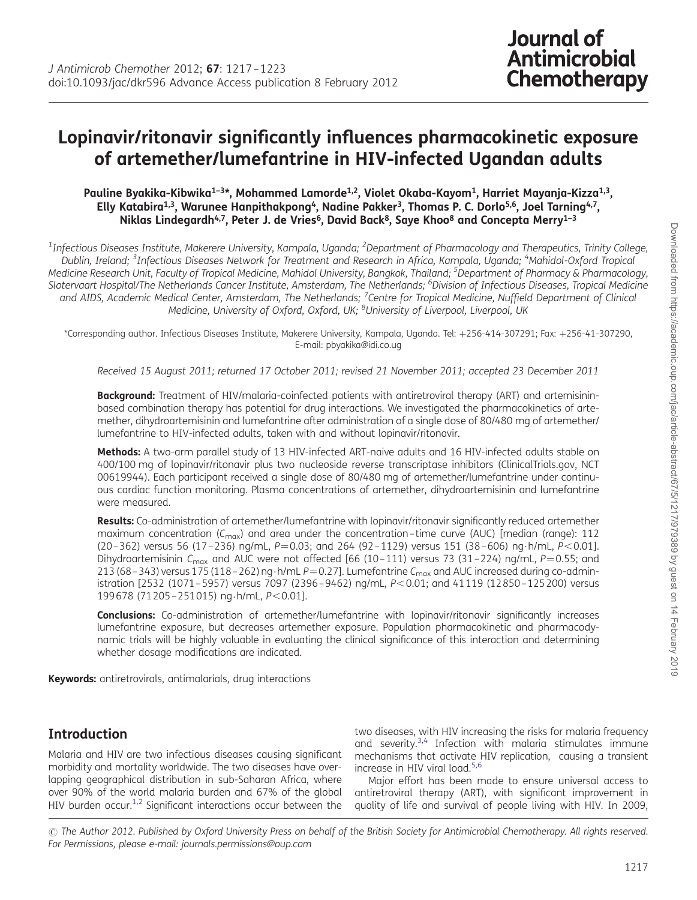# Lopinavir/ritonavir significantly influences pharmacokinetic exposure of artemether/lumefantrine in HIV-infected Ugandan adults

Pauline Byakika-Kibwika<sup>1-3\*</sup>, Mohammed Lamorde<sup>1,2</sup>, Violet Okaba-Kayom<sup>1</sup>, Harriet Mayanja-Kizza<sup>1,3</sup>, Elly Katabira<sup>1,3</sup>, Warunee Hanpithakpong<sup>4</sup>, Nadine Pakker<sup>3</sup>, Thomas P. C. Dorlo<sup>5,6</sup>, Joel Tarning<sup>4,7</sup>, Niklas Lindegardh<sup>4,7</sup>, Peter J. de Vries<sup>6</sup>, David Back<sup>8</sup>, Saye Khoo<sup>8</sup> and Concepta Merry<sup>1-3</sup>

 $^{\rm 1}$ Infectious Diseases Institute, Makerere University, Kampala, Uganda; <sup>2</sup>Department of Pharmacology and Therapeutics, Trinity College, Dublin, Ireland; <sup>3</sup>Infectious Diseases Network for Treatment and Research in Africa, Kampala, Uganda; <sup>4</sup>Mahidol-Oxford Tropical Medicine Research Unit, Faculty of Tropical Medicine, Mahidol University, Bangkok, Thailand; <sup>5</sup>Department of Pharmacy & Pharmacology, Slotervaart Hospital/The Netherlands Cancer Institute, Amsterdam, The Netherlands; <sup>6</sup>Division of Infectious Diseases, Tropical Medicine and AIDS, Academic Medical Center, Amsterdam, The Netherlands; <sup>7</sup>Centre for Tropical Medicine, Nuffield Department of Clinical Medicine, University of Oxford, Oxford, UK; <sup>8</sup>University of Liverpool, Liverpool, UK

\*Corresponding author. Infectious Diseases Institute, Makerere University, Kampala, Uganda. Tel: +256-414-307291; Fax: +256-41-307290, E-mail: pbyakika@idi.co.ug

Received 15 August 2011; returned 17 October 2011; revised 21 November 2011; accepted 23 December 2011

Background: Treatment of HIV/malaria-coinfected patients with antiretroviral therapy (ART) and artemisininbased combination therapy has potential for drug interactions. We investigated the pharmacokinetics of artemether, dihydroartemisinin and lumefantrine after administration of a single dose of 80/480 mg of artemether/ lumefantrine to HIV-infected adults, taken with and without lopinavir/ritonavir.

Methods: A two-arm parallel study of 13 HIV-infected ART-naive adults and 16 HIV-infected adults stable on 400/100 mg of lopinavir/ritonavir plus two nucleoside reverse transcriptase inhibitors (ClinicalTrials.gov, NCT 00619944). Each participant received a single dose of 80/480 mg of artemether/lumefantrine under continuous cardiac function monitoring. Plasma concentrations of artemether, dihydroartemisinin and lumefantrine were measured.

Results: Co-administration of artemether/lumefantrine with lopinavir/ritonavir significantly reduced artemether maximum concentration ( $C_{\text{max}}$ ) and area under the concentration-time curve (AUC) [median (range): 112  $(20 - 362)$  versus 56  $(17 - 236)$  ng/mL,  $P = 0.03$ ; and 264  $(92 - 1129)$  versus 151  $(38 - 606)$  ng $\cdot$ h/mL,  $P < 0.01$ ]. Dihydroartemisinin C<sub>max</sub> and AUC were not affected [66 (10-111) versus 73 (31-224) ng/mL, P=0.55; and 213 (68 – 343) versus 175 (118 – 262) ng  $\cdot$  h/mL P = 0.27]. Lumefantrine C<sub>max</sub> and AUC increased during co-administration [2532 (1071-5957) versus 7097 (2396-9462) ng/mL, P<0.01; and 41119 (12850-125200) versus 199678 (71205 - 251015) ng $\cdot$ h/mL, P<0.01].

**Conclusions:** Co-administration of artemether/lumefantrine with lopinavir/ritonavir significantly increases lumefantrine exposure, but decreases artemether exposure. Population pharmacokinetic and pharmacodynamic trials will be highly valuable in evaluating the clinical significance of this interaction and determining whether dosage modifications are indicated.

Keywords: antiretrovirals, antimalarials, drug interactions

# Introduction

Malaria and HIV are two infectious diseases causing significant morbidity and mortality worldwide. The two diseases have overlapping geographical distribution in sub-Saharan Africa, where over 90% of the world malaria burden and 67% of the global HIV burden occur. $1,2$  $1,2$  $1,2$  Significant interactions occur between the two diseases, with HIV increasing the risks for malaria frequency and severity. $3,4$  Infection with malaria stimulates immune mechanisms that activate HIV replication, causing a transient increase in HIV viral load.<sup>[5](#page-5-0),[6](#page-5-0)</sup>

Major effort has been made to ensure universal access to antiretroviral therapy (ART), with significant improvement in quality of life and survival of people living with HIV. In 2009,

 $\odot$  The Author 2012. Published by Oxford University Press on behalf of the British Society for Antimicrobial Chemotherapy. All rights reserved. For Permissions, please e-mail: journals.permissions@oup.com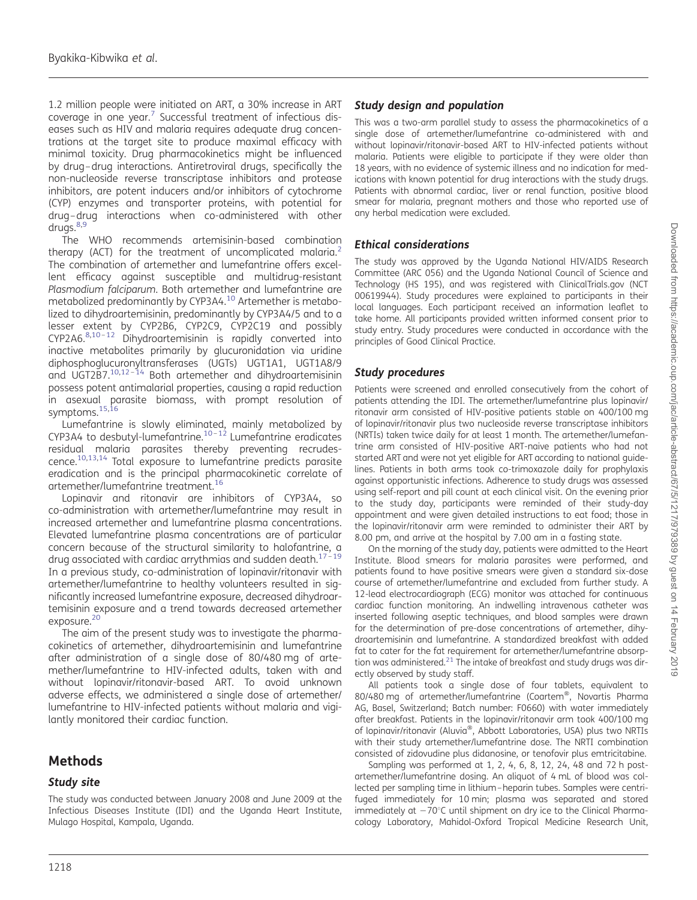1.2 million people were initiated on ART, a 30% increase in ART coverage in one year.<sup>[7](#page-5-0)</sup> Successful treatment of infectious diseases such as HIV and malaria requires adequate drug concentrations at the target site to produce maximal efficacy with minimal toxicity. Drug pharmacokinetics might be influenced by drug –drug interactions. Antiretroviral drugs, specifically the non-nucleoside reverse transcriptase inhibitors and protease inhibitors, are potent inducers and/or inhibitors of cytochrome (CYP) enzymes and transporter proteins, with potential for drug –drug interactions when co-administered with other  $drugs.^{8,9}$  $drugs.^{8,9}$  $drugs.^{8,9}$ 

The WHO recommends artemisinin-based combination therapy (ACT) for the treatment of uncomplicated malaria.<sup>[2](#page-5-0)</sup> The combination of artemether and lumefantrine offers excellent efficacy against susceptible and multidrug-resistant Plasmodium falciparum. Both artemether and lumefantrine are metabolized predominantly by CYP3A4[.10](#page-5-0) Artemether is metabolized to dihydroartemisinin, predominantly by CYP3A4/5 and to a lesser extent by CYP2B6, CYP2C9, CYP2C19 and possibly CYP2A6[.8,10](#page-5-0)–[12](#page-5-0) Dihydroartemisinin is rapidly converted into inactive metabolites primarily by glucuronidation via uridine diphosphoglucuronyltransferases (UGTs) UGT1A1, UGT1A8/9 and UGT2B7.<sup>[10,12](#page-5-0)–[14](#page-5-0)</sup> Both artemether and dihydroartemisinin possess potent antimalarial properties, causing a rapid reduction in asexual parasite biomass, with prompt resolution of symptoms.[15,16](#page-5-0)

Lumefantrine is slowly eliminated, mainly metabolized by CYP3A4 to desbutyl-lumefantrine. $10-12$  $10-12$  $10-12$  Lumefantrine eradicates residual malaria parasites thereby preventing recrudescence.[10,13](#page-5-0),[14](#page-5-0) Total exposure to lumefantrine predicts parasite eradication and is the principal pharmacokinetic correlate of artemether/lumefantrine treatment.[16](#page-5-0)

Lopinavir and ritonavir are inhibitors of CYP3A4, so co-administration with artemether/lumefantrine may result in increased artemether and lumefantrine plasma concentrations. Elevated lumefantrine plasma concentrations are of particular concern because of the structural similarity to halofantrine, a drug associated with cardiac arrythmias and sudden death.<sup>[17](#page-5-0)-[19](#page-5-0)</sup> In a previous study, co-administration of lopinavir/ritonavir with artemether/lumefantrine to healthy volunteers resulted in significantly increased lumefantrine exposure, decreased dihydroartemisinin exposure and a trend towards decreased artemether exposure.<sup>[20](#page-5-0)</sup>

The aim of the present study was to investigate the pharmacokinetics of artemether, dihydroartemisinin and lumefantrine after administration of a single dose of 80/480 mg of artemether/lumefantrine to HIV-infected adults, taken with and without lopinavir/ritonavir-based ART. To avoid unknown adverse effects, we administered a single dose of artemether/ lumefantrine to HIV-infected patients without malaria and vigilantly monitored their cardiac function.

# Methods

### Study site

The study was conducted between January 2008 and June 2009 at the Infectious Diseases Institute (IDI) and the Uganda Heart Institute, Mulago Hospital, Kampala, Uganda.

## Study design and population

This was a two-arm parallel study to assess the pharmacokinetics of a single dose of artemether/lumefantrine co-administered with and without lopinavir/ritonavir-based ART to HIV-infected patients without malaria. Patients were eligible to participate if they were older than 18 years, with no evidence of systemic illness and no indication for medications with known potential for drug interactions with the study drugs. Patients with abnormal cardiac, liver or renal function, positive blood smear for malaria, pregnant mothers and those who reported use of any herbal medication were excluded.

### Ethical considerations

The study was approved by the Uganda National HIV/AIDS Research Committee (ARC 056) and the Uganda National Council of Science and Technology (HS 195), and was registered with ClinicalTrials.gov (NCT 00619944). Study procedures were explained to participants in their local languages. Each participant received an information leaflet to take home. All participants provided written informed consent prior to study entry. Study procedures were conducted in accordance with the principles of Good Clinical Practice.

## Study procedures

Patients were screened and enrolled consecutively from the cohort of patients attending the IDI. The artemether/lumefantrine plus lopinavir/ ritonavir arm consisted of HIV-positive patients stable on 400/100 mg of lopinavir/ritonavir plus two nucleoside reverse transcriptase inhibitors (NRTIs) taken twice daily for at least 1 month. The artemether/lumefantrine arm consisted of HIV-positive ART-naive patients who had not started ART and were not yet eligible for ART according to national guidelines. Patients in both arms took co-trimoxazole daily for prophylaxis against opportunistic infections. Adherence to study drugs was assessed using self-report and pill count at each clinical visit. On the evening prior to the study day, participants were reminded of their study-day appointment and were given detailed instructions to eat food; those in the lopinavir/ritonavir arm were reminded to administer their ART by 8.00 pm, and arrive at the hospital by 7.00 am in a fasting state.

On the morning of the study day, patients were admitted to the Heart Institute. Blood smears for malaria parasites were performed, and patients found to have positive smears were given a standard six-dose course of artemether/lumefantrine and excluded from further study. A 12-lead electrocardiograph (ECG) monitor was attached for continuous cardiac function monitoring. An indwelling intravenous catheter was inserted following aseptic techniques, and blood samples were drawn for the determination of pre-dose concentrations of artemether, dihydroartemisinin and lumefantrine. A standardized breakfast with added fat to cater for the fat requirement for artemether/lumefantrine absorp-tion was administered.<sup>[21](#page-5-0)</sup> The intake of breakfast and study drugs was directly observed by study staff.

All patients took a single dose of four tablets, equivalent to 80/480 mg of artemether/lumefantrine (Coartem®, Novartis Pharma AG, Basel, Switzerland; Batch number: F0660) with water immediately after breakfast. Patients in the lopinavir/ritonavir arm took 400/100 mg of lopinavir/ritonavir (Aluvia®, Abbott Laboratories, USA) plus two NRTIs with their study artemether/lumefantrine dose. The NRTI combination consisted of zidovudine plus didanosine, or tenofovir plus emtricitabine.

Sampling was performed at 1, 2, 4, 6, 8, 12, 24, 48 and 72 h postartemether/lumefantrine dosing. An aliquot of 4 mL of blood was collected per sampling time in lithium–heparin tubes. Samples were centrifuged immediately for 10 min; plasma was separated and stored immediately at  $-70^{\circ}$ C until shipment on dry ice to the Clinical Pharmacology Laboratory, Mahidol-Oxford Tropical Medicine Research Unit,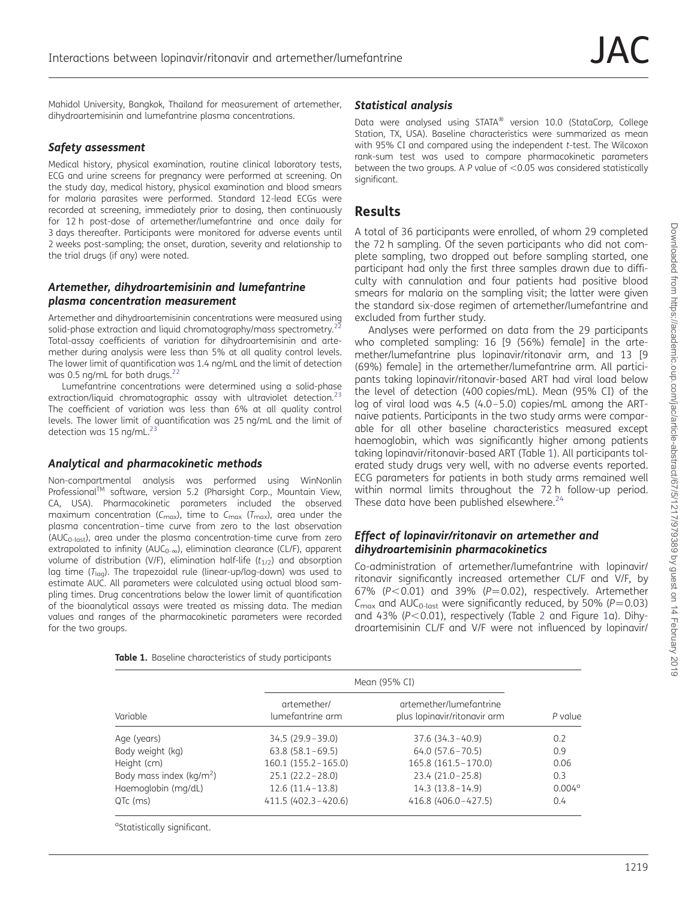Mahidol University, Bangkok, Thailand for measurement of artemether, dihydroartemisinin and lumefantrine plasma concentrations.

#### Safety assessment

Medical history, physical examination, routine clinical laboratory tests, ECG and urine screens for pregnancy were performed at screening. On the study day, medical history, physical examination and blood smears for malaria parasites were performed. Standard 12-lead ECGs were recorded at screening, immediately prior to dosing, then continuously for 12 h post-dose of artemether/lumefantrine and once daily for 3 days thereafter. Participants were monitored for adverse events until 2 weeks post-sampling; the onset, duration, severity and relationship to the trial drugs (if any) were noted.

#### Artemether, dihydroartemisinin and lumefantrine plasma concentration measurement

Artemether and dihydroartemisinin concentrations were measured using solid-phase extraction and liquid chromatography/mass spectrometry.<sup>2</sup> Total-assay coefficients of variation for dihydroartemisinin and artemether during analysis were less than 5% at all quality control levels. The lower limit of quantification was 1.4 ng/mL and the limit of detection was 0.5 ng/mL for both drugs. $^{22}$ 

Lumefantrine concentrations were determined using a solid-phase extraction/liquid chromatographic assay with ultraviolet detection.<sup>[23](#page-5-0)</sup> The coefficient of variation was less than 6% at all quality control levels. The lower limit of quantification was 25 ng/mL and the limit of detection was  $15$  ng/mL.<sup>2</sup>

#### Analytical and pharmacokinetic methods

Non-compartmental analysis was performed using WinNonlin ProfessionalTM software, version 5.2 (Pharsight Corp., Mountain View, CA, USA). Pharmacokinetic parameters included the observed maximum concentration ( $C_{\text{max}}$ ), time to  $C_{\text{max}}$  ( $T_{\text{max}}$ ), area under the plasma concentration– time curve from zero to the last observation ( $AUC_{0-{\text{last}}}$ ), area under the plasma concentration-time curve from zero extrapolated to infinity ( $AUC_{0-\infty}$ ), elimination clearance (CL/F), apparent volume of distribution (V/F), elimination half-life  $(t_{1/2})$  and absorption lag time  $(T_{\text{lag}})$ . The trapezoidal rule (linear-up/log-down) was used to estimate AUC. All parameters were calculated using actual blood sampling times. Drug concentrations below the lower limit of quantification of the bioanalytical assays were treated as missing data. The median values and ranges of the pharmacokinetic parameters were recorded for the two groups.

| Table 1. Baseline characteristics of study participants |  |
|---------------------------------------------------------|--|
|---------------------------------------------------------|--|

### Statistical analysis

Data were analysed using STATA<sup>®</sup> version 10.0 (StataCorp, College Station, TX, USA). Baseline characteristics were summarized as mean with 95% CI and compared using the independent t-test. The Wilcoxon rank-sum test was used to compare pharmacokinetic parameters between the two groups. A P value of  $<$  0.05 was considered statistically significant.

## Results

A total of 36 participants were enrolled, of whom 29 completed the 72 h sampling. Of the seven participants who did not complete sampling, two dropped out before sampling started, one participant had only the first three samples drawn due to difficulty with cannulation and four patients had positive blood smears for malaria on the sampling visit; the latter were given the standard six-dose regimen of artemether/lumefantrine and excluded from further study.

Analyses were performed on data from the 29 participants who completed sampling: 16 [9 (56%) female] in the artemether/lumefantrine plus lopinavir/ritonavir arm, and 13 [9 (69%) female] in the artemether/lumefantrine arm. All participants taking lopinavir/ritonavir-based ART had viral load below the level of detection (400 copies/mL). Mean (95% CI) of the log of viral load was 4.5 (4.0 –5.0) copies/mL among the ARTnaive patients. Participants in the two study arms were comparable for all other baseline characteristics measured except haemoglobin, which was significantly higher among patients taking lopinavir/ritonavir-based ART (Table 1). All participants tolerated study drugs very well, with no adverse events reported. ECG parameters for patients in both study arms remained well within normal limits throughout the 72 h follow-up period. These data have been published elsewhere.<sup>24</sup>

#### Effect of lopinavir/ritonavir on artemether and dihydroartemisinin pharmacokinetics

Co-administration of artemether/lumefantrine with lopinavir/ ritonavir significantly increased artemether CL/F and V/F, by 67% ( $P < 0.01$ ) and 39% ( $P = 0.02$ ), respectively. Artemether  $C_{\text{max}}$  and AUC<sub>0-last</sub> were significantly reduced, by 50% (P=0.03) and 43% ( $P < 0.01$  $P < 0.01$ ), respectively (Table [2](#page-3-0) and Figure 1a). Dihydroartemisinin CL/F and V/F were not influenced by lopinavir/

| Variable                    | Mean (95% CI)                   |                                                         |                 |
|-----------------------------|---------------------------------|---------------------------------------------------------|-----------------|
|                             | artemether/<br>lumefantrine arm | artemether/lumefantrine<br>plus lopinavir/ritonavir arm | P value         |
| Age (years)                 | $34.5(29.9 - 39.0)$             | $37.6(34.3 - 40.9)$                                     | 0.2             |
| Body weight (kg)            | $63.8(58.1-69.5)$               | $64.0(57.6 - 70.5)$                                     | 0.9             |
| Height (cm)                 | $160.1(155.2 - 165.0)$          | 165.8 (161.5 - 170.0)                                   | 0.06            |
| Body mass index ( $kg/m2$ ) | $25.1(22.2 - 28.0)$             | $23.4(21.0-25.8)$                                       | 0.3             |
| Haemoglobin (mg/dL)         | $12.6(11.4 - 13.8)$             | $14.3(13.8 - 14.9)$                                     | $0.004^{\circ}$ |
| QTc (ms)                    | $411.5(402.3 - 420.6)$          | 416.8 (406.0-427.5)                                     | 0.4             |

<sup>a</sup>Statistically significant.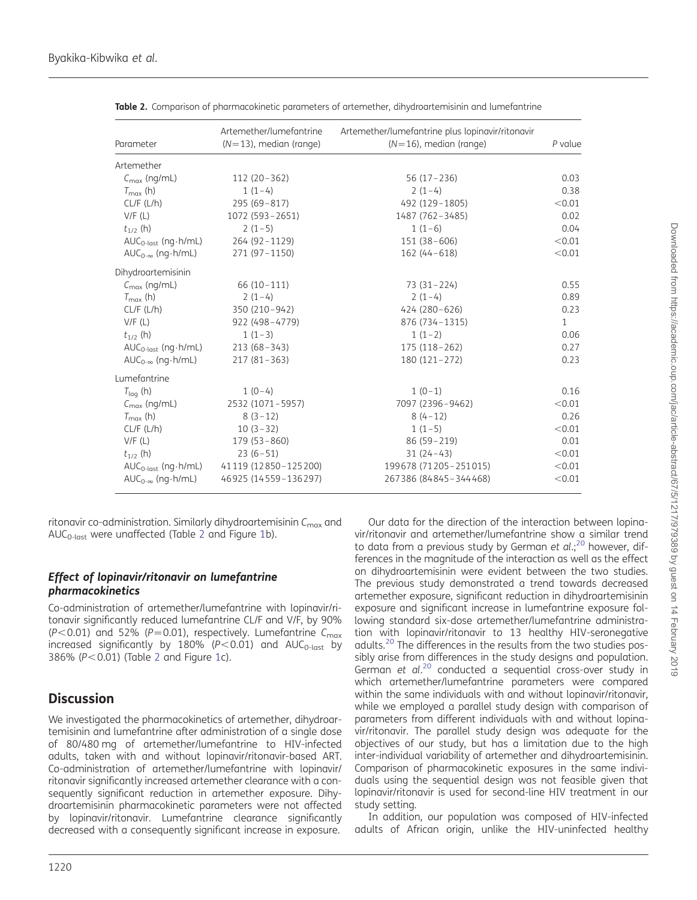| Parameter                      | Artemether/lumefantrine<br>$(N=13)$ , median (range) | Artemether/lumefantrine plus lopinavir/ritonavir<br>$(N=16)$ , median (range) | P value      |
|--------------------------------|------------------------------------------------------|-------------------------------------------------------------------------------|--------------|
| Artemether                     |                                                      |                                                                               |              |
| $C_{\text{max}}$ (ng/mL)       | $112(20-362)$                                        | $56(17-236)$                                                                  | 0.03         |
| $T_{\text{max}}$ (h)           | $1(1-4)$                                             | $2(1-4)$                                                                      | 0.38         |
| CL/F (L/h)                     | $295(69 - 817)$                                      | 492 (129-1805)                                                                | < 0.01       |
| V/F(L)                         | 1072 (593-2651)                                      | 1487 (762-3485)                                                               | 0.02         |
| $t_{1/2}$ (h)                  | $2(1-5)$                                             | $1(1-6)$                                                                      | 0.04         |
| $AUC_{0-last}$ (ng $-h/mL$ )   | 264 (92-1129)                                        | $151(38-606)$                                                                 | < 0.01       |
| $AUC_{0-\infty}$ (ng $-h/mL$ ) | 271 (97-1150)                                        | $162(44-618)$                                                                 | < 0.01       |
| Dihydroartemisinin             |                                                      |                                                                               |              |
| $C_{\text{max}}$ (ng/mL)       | $66(10-111)$                                         | $73(31 - 224)$                                                                | 0.55         |
| $T_{\text{max}}$ (h)           | $2(1-4)$                                             | $2(1-4)$                                                                      | 0.89         |
| CL/F (L/h)                     | 350 (210-942)                                        | $424(280-626)$                                                                | 0.23         |
| V/F(L)                         | 922 (498-4779)                                       | 876 (734-1315)                                                                | $\mathbf{1}$ |
| $t_{1/2}$ (h)                  | $1(1-3)$                                             | $1(1-2)$                                                                      | 0.06         |
| $AUC_{0-last}$ (ng $-h/mL$ )   | $213(68-343)$                                        | 175 (118 - 262)                                                               | 0.27         |
| $AUC_{0-\infty}$ (ng $-h/mL$ ) | $217(81 - 363)$                                      | $180(121-272)$                                                                | 0.23         |
| Lumefantrine                   |                                                      |                                                                               |              |
| $T_{\text{lag}}$ (h)           | $1(0-4)$                                             | $1(0-1)$                                                                      | 0.16         |
| $C_{\text{max}}$ (ng/mL)       | 2532 (1071-5957)                                     | 7097 (2396-9462)                                                              | < 0.01       |
| $T_{\text{max}}$ (h)           | $8(3-12)$                                            | $8(4-12)$                                                                     | 0.26         |
| CL/F (L/h)                     | $10(3-32)$                                           | $1(1-5)$                                                                      | < 0.01       |
| V/F(L)                         | $179(53 - 860)$                                      | $86(59 - 219)$                                                                | 0.01         |
| $t_{1/2}$ (h)                  | $23(6-51)$                                           | $31(24-43)$                                                                   | < 0.01       |
| $AUC_{0-last}$ (ng $-h/mL$ )   | 41119 (12850-125200)                                 | 199678 (71205-251015)                                                         | < 0.01       |
| $AUC_{0-\infty}$ (ng $-h/mL$ ) | 46925 (14559-136297)                                 | 267386 (84845-344468)                                                         | < 0.01       |

<span id="page-3-0"></span>Table 2. Comparison of pharmacokinetic parameters of artemether, dihydroartemisinin and lumefantrine

ritonavir co-administration. Similarly dihydroartemisinin  $C_{\text{max}}$  and AUC<sub>0-last</sub> were unaffected (Table 2 and Figure [1b](#page-4-0)).

#### Effect of lopinavir/ritonavir on lumefantrine pharmacokinetics

Co-administration of artemether/lumefantrine with lopinavir/ritonavir significantly reduced lumefantrine CL/F and V/F, by 90% (P<0.01) and 52% (P=0.01), respectively. Lumefantrine  $C_{\text{max}}$ increased significantly by 180% ( $P < 0.01$ ) and AUC<sub>0-last</sub> by 386% ( $P < 0.01$  $P < 0.01$ ) (Table 2 and Figure 1c).

# **Discussion**

We investigated the pharmacokinetics of artemether, dihydroartemisinin and lumefantrine after administration of a single dose of 80/480 mg of artemether/lumefantrine to HIV-infected adults, taken with and without lopinavir/ritonavir-based ART. Co-administration of artemether/lumefantrine with lopinavir/ ritonavir significantly increased artemether clearance with a consequently significant reduction in artemether exposure. Dihydroartemisinin pharmacokinetic parameters were not affected by lopinavir/ritonavir. Lumefantrine clearance significantly decreased with a consequently significant increase in exposure.

1220

Our data for the direction of the interaction between lopinavir/ritonavir and artemether/lumefantrine show a similar trend to data from a previous study by German et  $al.;^{20}$  $al.;^{20}$  $al.;^{20}$  however, differences in the magnitude of the interaction as well as the effect on dihydroartemisinin were evident between the two studies. The previous study demonstrated a trend towards decreased artemether exposure, significant reduction in dihydroartemisinin exposure and significant increase in lumefantrine exposure following standard six-dose artemether/lumefantrine administration with lopinavir/ritonavir to 13 healthy HIV-seronegative adults.[20](#page-5-0) The differences in the results from the two studies possibly arise from differences in the study designs and population. German et al.<sup>[20](#page-5-0)</sup> conducted a sequential cross-over study in which artemether/lumefantrine parameters were compared within the same individuals with and without lopinavir/ritonavir, while we employed a parallel study design with comparison of parameters from different individuals with and without lopinavir/ritonavir. The parallel study design was adequate for the objectives of our study, but has a limitation due to the high inter-individual variability of artemether and dihydroartemisinin. Comparison of pharmacokinetic exposures in the same individuals using the sequential design was not feasible given that lopinavir/ritonavir is used for second-line HIV treatment in our study setting.

In addition, our population was composed of HIV-infected adults of African origin, unlike the HIV-uninfected healthy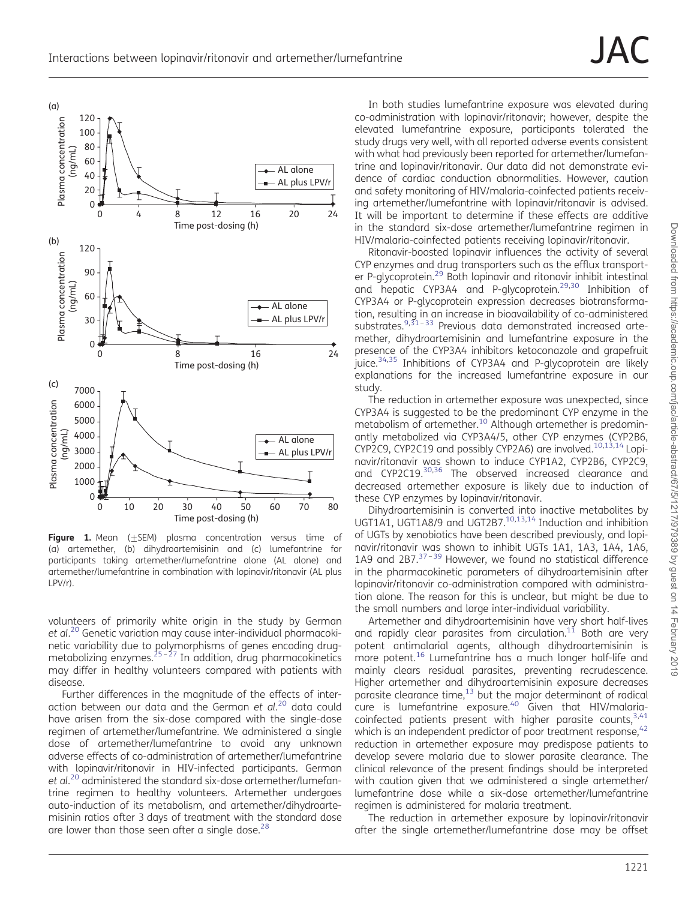<span id="page-4-0"></span>

Figure 1. Mean (+SEM) plasma concentration versus time of (a) artemether, (b) dihydroartemisinin and (c) lumefantrine for participants taking artemether/lumefantrine alone (AL alone) and artemether/lumefantrine in combination with lopinavir/ritonavir (AL plus LPV/r).

volunteers of primarily white origin in the study by German et al. [20](#page-5-0) Genetic variation may cause inter-individual pharmacokinetic variability due to polymorphisms of genes encoding drug-metabolizing enzymes.<sup>25–[27](#page-6-0)</sup> In addition, drug pharmacokinetics may differ in healthy volunteers compared with patients with disease.

Further differences in the magnitude of the effects of interaction between our data and the German et al. [20](#page-5-0) data could have arisen from the six-dose compared with the single-dose regimen of artemether/lumefantrine. We administered a single dose of artemether/lumefantrine to avoid any unknown adverse effects of co-administration of artemether/lumefantrine with lopinavir/ritonavir in HIV-infected participants. German et al.<sup>[20](#page-5-0)</sup> administered the standard six-dose artemether/lumefantrine regimen to healthy volunteers. Artemether undergoes auto-induction of its metabolism, and artemether/dihydroartemisinin ratios after 3 days of treatment with the standard dose are lower than those seen after a single dose.<sup>[28](#page-6-0)</sup>

In both studies lumefantrine exposure was elevated during co-administration with lopinavir/ritonavir; however, despite the elevated lumefantrine exposure, participants tolerated the study drugs very well, with all reported adverse events consistent with what had previously been reported for artemether/lumefantrine and lopinavir/ritonavir. Our data did not demonstrate evidence of cardiac conduction abnormalities. However, caution and safety monitoring of HIV/malaria-coinfected patients receiving artemether/lumefantrine with lopinavir/ritonavir is advised. It will be important to determine if these effects are additive in the standard six-dose artemether/lumefantrine regimen in HIV/malaria-coinfected patients receiving lopinavir/ritonavir.

Ritonavir-boosted lopinavir influences the activity of several CYP enzymes and drug transporters such as the efflux transport-er P-glycoprotein.<sup>[29](#page-6-0)</sup> Both lopinavir and ritonavir inhibit intestinal and hepatic CYP3A4 and P-glycoprotein.<sup>[29,30](#page-6-0)</sup> Inhibition of CYP3A4 or P-glycoprotein expression decreases biotransformation, resulting in an increase in bioavailability of co-administered substrates.<sup>[9](#page-5-0),[31](#page-6-0)-[33](#page-6-0)</sup> Previous data demonstrated increased artemether, dihydroartemisinin and lumefantrine exposure in the presence of the CYP3A4 inhibitors ketoconazole and grapefruit juice.<sup>[34](#page-6-0),[35](#page-6-0)</sup> Inhibitions of CYP3A4 and P-glycoprotein are likely explanations for the increased lumefantrine exposure in our study.

The reduction in artemether exposure was unexpected, since CYP3A4 is suggested to be the predominant CYP enzyme in the metabolism of artemether.<sup>[10](#page-5-0)</sup> Although artemether is predominantly metabolized via CYP3A4/5, other CYP enzymes (CYP2B6, CYP2C9, CYP2C19 and possibly CYP2A6) are involved.<sup>[10,13,14](#page-5-0)</sup> Lopinavir/ritonavir was shown to induce CYP1A2, CYP2B6, CYP2C9, and CYP2C19.[30,36](#page-6-0) The observed increased clearance and decreased artemether exposure is likely due to induction of these CYP enzymes by lopinavir/ritonavir.

Dihydroartemisinin is converted into inactive metabolites by UGT1A1, UGT1A8/9 and UGT2B7.<sup>[10](#page-5-0),[13,14](#page-5-0)</sup> Induction and inhibition of UGTs by xenobiotics have been described previously, and lopinavir/ritonavir was shown to inhibit UGTs 1A1, 1A3, 1A4, 1A6, 1A9 and 2B7.<sup>[37](#page-6-0)-[39](#page-6-0)</sup> However, we found no statistical difference in the pharmacokinetic parameters of dihydroartemisinin after lopinavir/ritonavir co-administration compared with administration alone. The reason for this is unclear, but might be due to the small numbers and large inter-individual variability.

Artemether and dihydroartemisinin have very short half-lives and rapidly clear parasites from circulation.<sup>[11](#page-5-0)</sup> Both are very potent antimalarial agents, although dihydroartemisinin is more potent.[16](#page-5-0) Lumefantrine has a much longer half-life and more potent. Edineralities has a mater tonger had the and mainly clears residual parasites, preventing recrudescence. Higher artemether and dihydroartemisinin exposure decreases parasite clearance time, $13$  but the major determinant of radical cure is lumefantrine exposure. $40$  Given that HIV/malariacoinfected patients present with higher parasite counts, $3,41$  $3,41$ which is an independent predictor of poor treatment response.  $42$ reduction in artemether exposure may predispose patients to develop severe malaria due to slower parasite clearance. The clinical relevance of the present findings should be interpreted with caution given that we administered a single artemether/ lumefantrine dose while a six-dose artemether/lumefantrine regimen is administered for malaria treatment.

The reduction in artemether exposure by lopinavir/ritonavir after the single artemether/lumefantrine dose may be offset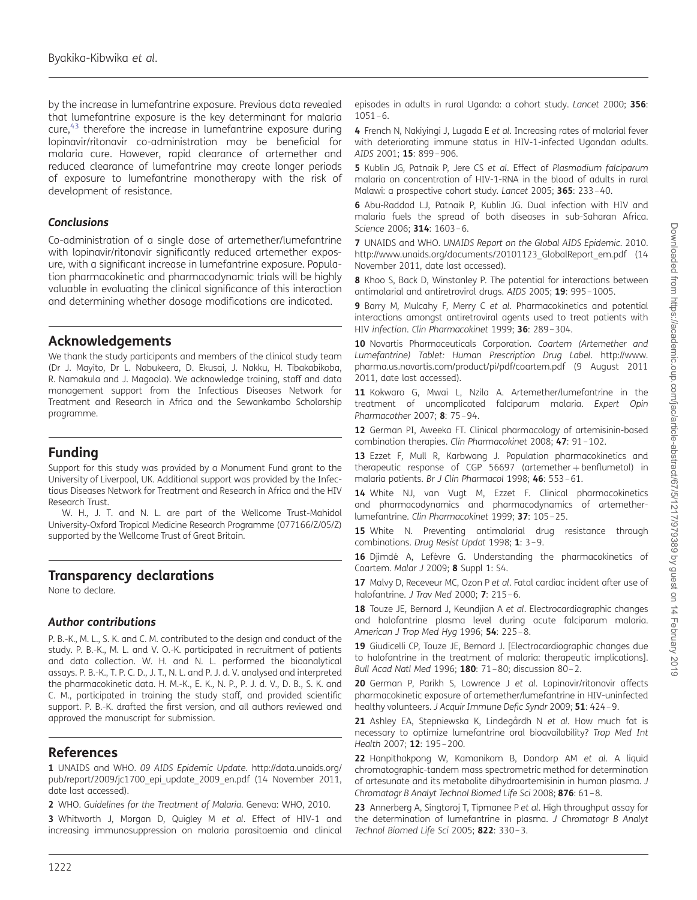<span id="page-5-0"></span>by the increase in lumefantrine exposure. Previous data revealed that lumefantrine exposure is the key determinant for malaria cure,<sup>[43](#page-6-0)</sup> therefore the increase in lumefantrine exposure during lopinavir/ritonavir co-administration may be beneficial for malaria cure. However, rapid clearance of artemether and reduced clearance of lumefantrine may create longer periods of exposure to lumefantrine monotherapy with the risk of development of resistance.

### **Conclusions**

Co-administration of a single dose of artemether/lumefantrine with lopinavir/ritonavir significantly reduced artemether exposure, with a significant increase in lumefantrine exposure. Population pharmacokinetic and pharmacodynamic trials will be highly valuable in evaluating the clinical significance of this interaction and determining whether dosage modifications are indicated.

## Acknowledgements

We thank the study participants and members of the clinical study team (Dr J. Mayito, Dr L. Nabukeera, D. Ekusai, J. Nakku, H. Tibakabikoba, R. Namakula and J. Magoola). We acknowledge training, staff and data management support from the Infectious Diseases Network for Treatment and Research in Africa and the Sewankambo Scholarship programme.

# Funding

Support for this study was provided by a Monument Fund grant to the University of Liverpool, UK. Additional support was provided by the Infectious Diseases Network for Treatment and Research in Africa and the HIV Research Trust.

W. H., J. T. and N. L. are part of the Wellcome Trust-Mahidol University-Oxford Tropical Medicine Research Programme (077166/Z/05/Z) supported by the Wellcome Trust of Great Britain.

# Transparency declarations

None to declare.

### Author contributions

P. B.-K., M. L., S. K. and C. M. contributed to the design and conduct of the study. P. B.-K., M. L. and V. O.-K. participated in recruitment of patients and data collection. W. H. and N. L. performed the bioanalytical assays. P. B.-K., T. P. C. D., J. T., N. L. and P. J. d. V. analysed and interpreted the pharmacokinetic data. H. M.-K., E. K., N. P., P. J. d. V., D. B., S. K. and C. M., participated in training the study staff, and provided scientific support. P. B.-K. drafted the first version, and all authors reviewed and approved the manuscript for submission.

## References

1 UNAIDS and WHO. 09 AIDS Epidemic Update. [http://data.unaids.org/](http://data.unaids.org/pub/report/2009/jc1700_epi_update_2009_en.pdf) [pub/report/2009/jc1700\\_epi\\_update\\_2009\\_en.pdf](http://data.unaids.org/pub/report/2009/jc1700_epi_update_2009_en.pdf) (14 November 2011, date last accessed).

2 WHO. Guidelines for the Treatment of Malaria. Geneva: WHO, 2010.

3 Whitworth J, Morgan D, Quigley M et al. Effect of HIV-1 and increasing immunosuppression on malaria parasitaemia and clinical episodes in adults in rural Uganda: a cohort study. Lancet 2000; 356:  $1051 - 6$ 

4 French N, Nakiyingi J, Lugada E et al. Increasing rates of malarial fever with deteriorating immune status in HIV-1-infected Ugandan adults. AIDS 2001; 15: 899–906.

5 Kublin JG, Patnaik P, Jere CS et al. Effect of Plasmodium falciparum malaria on concentration of HIV-1-RNA in the blood of adults in rural Malawi: a prospective cohort study. Lancet 2005; 365: 233–40.

6 Abu-Raddad LJ, Patnaik P, Kublin JG. Dual infection with HIV and malaria fuels the spread of both diseases in sub-Saharan Africa. Science 2006: 314: 1603-6.

7 UNAIDS and WHO. UNAIDS Report on the Global AIDS Epidemic. 2010. [http://www.unaids.org/documents/20101123\\_GlobalReport\\_em.pdf](http://www.unaids.org/documents/20101123_GlobalReport_em.pdf) (14 November 2011, date last accessed).

8 Khoo S, Back D, Winstanley P. The potential for interactions between antimalarial and antiretroviral drugs. AIDS 2005; 19: 995–1005.

9 Barry M, Mulcahy F, Merry C et al. Pharmacokinetics and potential interactions amongst antiretroviral agents used to treat patients with HIV infection. Clin Pharmacokinet 1999; 36: 289–304.

10 Novartis Pharmaceuticals Corporation. Coartem (Artemether and Lumefantrine) Tablet: Human Prescription Drug Label. [http://www.](http://www.pharma.us.novartis.com/product/pi/pdf/coartem.pdf) [pharma.us.novartis.com/product/pi/pdf/coartem.pdf](http://www.pharma.us.novartis.com/product/pi/pdf/coartem.pdf) (9 August 2011 2011, date last accessed).

11 Kokwaro G, Mwai L, Nzila A. Artemether/lumefantrine in the treatment of uncomplicated falciparum malaria. Expert Opin Pharmacother 2007; 8: 75-94.

12 German PI, Aweeka FT. Clinical pharmacology of artemisinin-based combination therapies. Clin Pharmacokinet 2008; 47: 91–102.

13 Ezzet F, Mull R, Karbwang J. Population pharmacokinetics and therapeutic response of CGP 56697 (artemether + benflumetol) in malaria patients. Br J Clin Pharmacol 1998; 46: 553–61.

14 White NJ, van Vugt M, Ezzet F. Clinical pharmacokinetics and pharmacodynamics and pharmacodynamics of artemetherlumefantrine. Clin Pharmacokinet 1999; 37: 105–25.

15 White N. Preventing antimalarial drug resistance through combinations. Drug Resist Updat 1998; 1: 3 –9.

16 Djimdé A, Lefèvre G. Understanding the pharmacokinetics of Coartem. Malar J 2009; 8 Suppl 1: S4.

17 Malvy D, Receveur MC, Ozon P et al. Fatal cardiac incident after use of halofantrine. J Trav Med 2000; **7**: 215-6.

18 Touze JE, Bernard J, Keundjian A et al. Electrocardiographic changes and halofantrine plasma level during acute falciparum malaria. American J Trop Med Hyg 1996; 54: 225-8.

19 Giudicelli CP, Touze JE, Bernard J. [Electrocardiographic changes due to halofantrine in the treatment of malaria: therapeutic implications]. Bull Acad Natl Med 1996; 180: 71-80; discussion 80-2.

20 German P, Parikh S, Lawrence J et al. Lopinavir/ritonavir affects pharmacokinetic exposure of artemether/lumefantrine in HIV-uninfected healthy volunteers. J Acquir Immune Defic Syndr 2009; 51: 424-9.

21 Ashley EA, Stepniewska K, Lindegårdh N et al. How much fat is necessary to optimize lumefantrine oral bioavailability? Trop Med Int Health 2007; 12: 195-200.

22 Hanpithakpong W, Kamanikom B, Dondorp AM et al. A liquid chromatographic-tandem mass spectrometric method for determination of artesunate and its metabolite dihydroartemisinin in human plasma. J Chromatogr B Analyt Technol Biomed Life Sci 2008; 876: 61 –8.

23 Annerberg A, Singtoroj T, Tipmanee P et al. High throughput assay for the determination of lumefantrine in plasma. J Chromatogr B Analyt Technol Biomed Life Sci 2005; 822: 330-3.